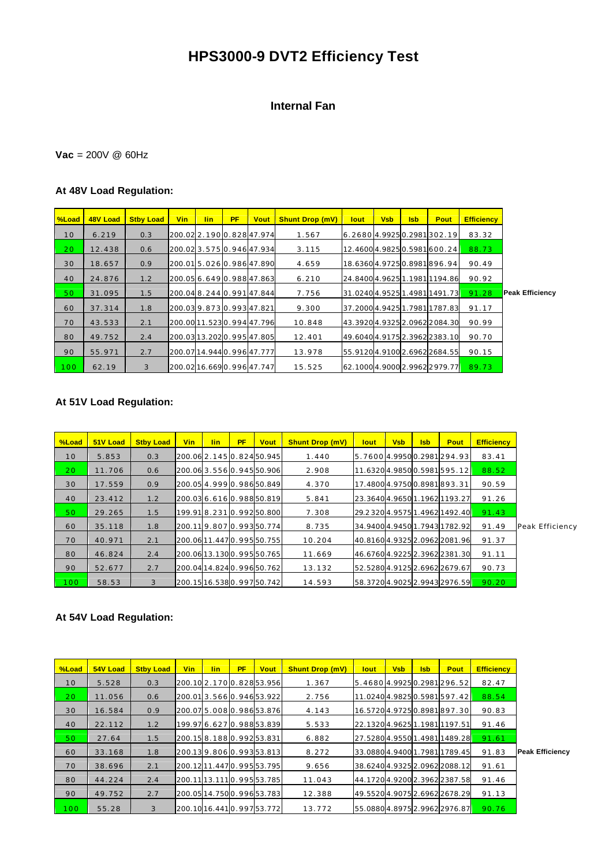# **HPS3000-9 DVT2 Efficiency Test**

## **Internal Fan**

## **Vac** = 200V @ 60Hz

## **At 48V Load Regulation:**

| %Load            | 48V Load | <b>Stby Load</b> | <b>Vin</b>                 | <b>lin</b> | <b>PF</b> | <b>Vout</b> | <b>Shunt Drop (mV)</b> | <b>lout</b>                    | <b>Vsb</b> | <b>Isb</b> | Pout                      | <b>Efficiency</b> |                        |
|------------------|----------|------------------|----------------------------|------------|-----------|-------------|------------------------|--------------------------------|------------|------------|---------------------------|-------------------|------------------------|
| 10               | 6.219    | 0.3              | 200.02 2.190 0.828 47.974  |            |           |             | 1.567                  | 6.2680 4.9925 0.2981 302.19    |            |            |                           | 83.32             |                        |
| 20               | 12.438   | 0.6              | 200.023.5750.94647.934     |            |           |             | 3.115                  |                                |            |            | 12.46004.98250.5981600.24 | 88.73             |                        |
| 30               | 18.657   | 0.9              | 200.015.0260.98647.890     |            |           |             | 4.659                  |                                |            |            | 18.63604.97250.8981896.94 | 90.49             |                        |
| 40               | 24.876   | 1.2              | 200.05 6.649 0.988 47.863  |            |           |             | 6.210                  | 24.8400 4.9625 1.1981 1194.86  |            |            |                           | 90.92             |                        |
| 50               | 31.095   | 1.5              | 200.04 8.244 0.991 47.844  |            |           |             | 7.756                  | 31.02404.95251.49811491.73     |            |            |                           | 91.28             | <b>Peak Efficiency</b> |
| 60               | 37.314   | 1.8              | 200.039.8730.99347.821     |            |           |             | 9.300                  | 37.2000 4.9425 1.798 1 1787.83 |            |            |                           | 91.17             |                        |
| 70               | 43.533   | 2.1              | 200.00 11.523 0.994 47.796 |            |           |             | 10.848                 | 43.39204.93252.09622084.30     |            |            |                           | 90.99             |                        |
| 80               | 49.752   | 2.4              | 200.03 13.202 0.995 47.805 |            |           |             | 12.401                 | 49.60404.91752.39622383.10     |            |            |                           | 90.70             |                        |
| 90               | 55.971   | 2.7              | 200.0714.9440.99647.777    |            |           |             | 13.978                 | 55.91204.91002.69622684.55     |            |            |                           | 90.15             |                        |
| 100 <sub>1</sub> | 62.19    | 3                | 200.0216.6690.99647.747    |            |           |             | 15.525                 | 62.1000 4.9000 2.9962 2979.77  |            |            |                           | 89.73             |                        |

### **At 51V Load Regulation:**

| <b>%Load</b>    | 51V Load | <b>Stby Load</b> | <b>Vin</b> | lin. | <b>PF</b> | <b>Vout</b>                | <b>Shunt Drop (mV)</b> | lout                           | <b>Vsb</b> | <b>Isb</b> | <b>Pout</b>                  | <b>Efficiency</b> |                 |
|-----------------|----------|------------------|------------|------|-----------|----------------------------|------------------------|--------------------------------|------------|------------|------------------------------|-------------------|-----------------|
| 10              | 5.853    | 0.3              |            |      |           | 200.06 2.145 0.824 50.945  | 1.440                  | 5.7600 4.9950 0.2981 294.93    |            |            |                              | 83.41             |                 |
| 20 <sub>1</sub> | 11.706   | 0.6              |            |      |           | 200.06 3.556 0.945 50.906  | 2.908                  |                                |            |            | 11.63204.98500.5981595.12    | 88.52             |                 |
| 30              | 17.559   | 0.9              |            |      |           | 200.05 4.999 0.986 50.849  | 4.370                  |                                |            |            | 17.4800 4.9750 0.8981 893.31 | 90.59             |                 |
| 40              | 23.412   | 1.2              |            |      |           | 200.03 6.616 0.988 50.819  | 5.841                  |                                |            |            | 23.36404.96501.19621193.27   | 91.26             |                 |
| 50              | 29.265   | 1.5              |            |      |           | 199.918.2310.99250.800     | 7.308                  | 29.2 320 4.9575 1.4962 1492.40 |            |            |                              | 91.43             |                 |
| 60              | 35.118   | 1.8              |            |      |           | 200.119.8070.99350.774     | 8.735                  |                                |            |            | 34.94004.94501.79431782.92   | 91.49             | Peak Efficiency |
| 70              | 40.971   | 2.1              |            |      |           | 200.06 11.447 0.995 50.755 | 10.204                 | 40.8160 4.9325 2.0962 2081.96  |            |            |                              | 91.37             |                 |
| 80              | 46.824   | 2.4              |            |      |           | 200.06 13.130 0.995 50.765 | 11.669                 | 46.6760 4.9225 2.3962 2381.30  |            |            |                              | 91.11             |                 |
| 90              | 52.677   | 2.7              |            |      |           | 200.0414.8240.99650.762    | 13.132                 | 52.5280 4.9125 2.6962 2679.67  |            |            |                              | 90.73             |                 |
| $\vert$ 100     | 58.53    | 3                |            |      |           | 200.15 16.538 0.997 50.742 | 14.593                 | 58.37204.90252.99432976.59     |            |            |                              | 90.20             |                 |

| %Load           | 54V Load | <b>Stby Load</b> | Vin | lin. | PF | <b>Vout</b>                | <b>Shunt Drop (mV)</b> | <b>lout</b> | <b>Vsb</b> | <b>Isb</b> | <b>Pout</b>                   | <b>Efficiency</b> |                        |
|-----------------|----------|------------------|-----|------|----|----------------------------|------------------------|-------------|------------|------------|-------------------------------|-------------------|------------------------|
| 10              | 5.528    | 0.3              |     |      |    | 200.10 2.170 0.828 53.956  | 1.367                  |             |            |            | 5.46804.99250.2981296.52      | 82.47             |                        |
| 20 <sub>o</sub> | 11.056   | 0.6              |     |      |    | 200.013.5660.94653.922     | 2.756                  |             |            |            | 11.02404.98250.5981597.42     | 88.54             |                        |
| 30              | 16.584   | 0.9              |     |      |    | 200.07 5.008 0.986 53.876  | 4.143                  |             |            |            | 16.57204.97250.8981897.30     | 90.83             |                        |
| 40              | 22.112   | 1.2              |     |      |    | 199.97 6.627 0.988 53.839  | 5.533                  |             |            |            | 22.13204.96251.19811197.51    | 91.46             |                        |
| 50              | 27.64    | 1.5              |     |      |    | 200.158.1880.99253.831     | 6.882                  |             |            |            | 27.52804.95501.49811489.28    | 91.61             |                        |
| 60              | 33.168   | 1.8              |     |      |    | 200.139.8060.99353.813     | 8.272                  |             |            |            | 33.08804.94001.79811789.45    | 91.83             | <b>Peak Efficiency</b> |
| 70              | 38.696   | 2.1              |     |      |    | 200.1211.4470.99553.795    | 9.656                  |             |            |            | 38.6240 4.9325 2.0962 2088.12 | 91.61             |                        |
| 80              | 44.224   | 2.4              |     |      |    | 200.11 13.111 0.995 53.785 | 11.043                 |             |            |            | 44.1720 4.9200 2.3962 2387.58 | 91.46             |                        |
| 90              | 49.752   | 2.7              |     |      |    | 200.05 14.750 0.996 53.783 | 12.388                 |             |            |            | 49.55204.90752.69622678.29    | 91.13             |                        |
| 100             | 55.28    | 3                |     |      |    | 200.10 16.441 0.997 53.772 | 13.772                 |             |            |            | 55.08804.89752.99622976.87    | 90.76             |                        |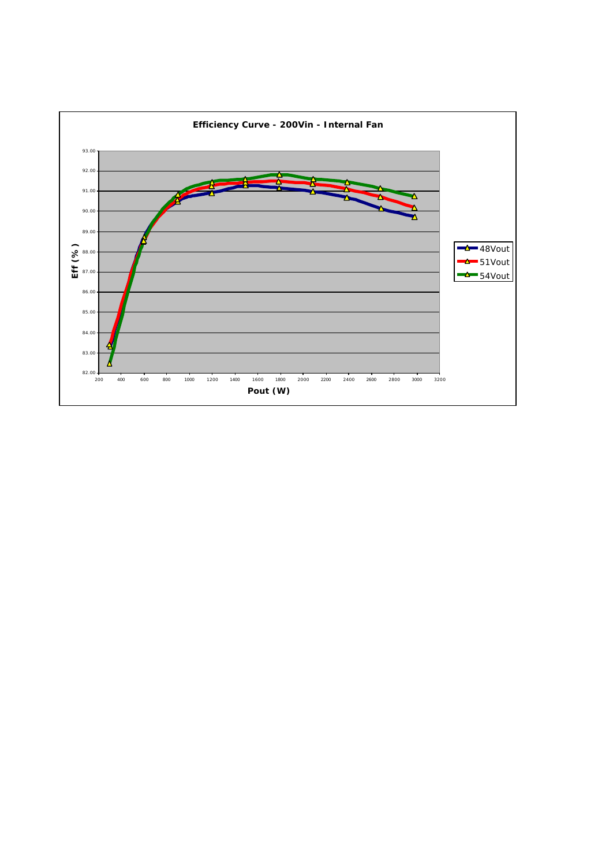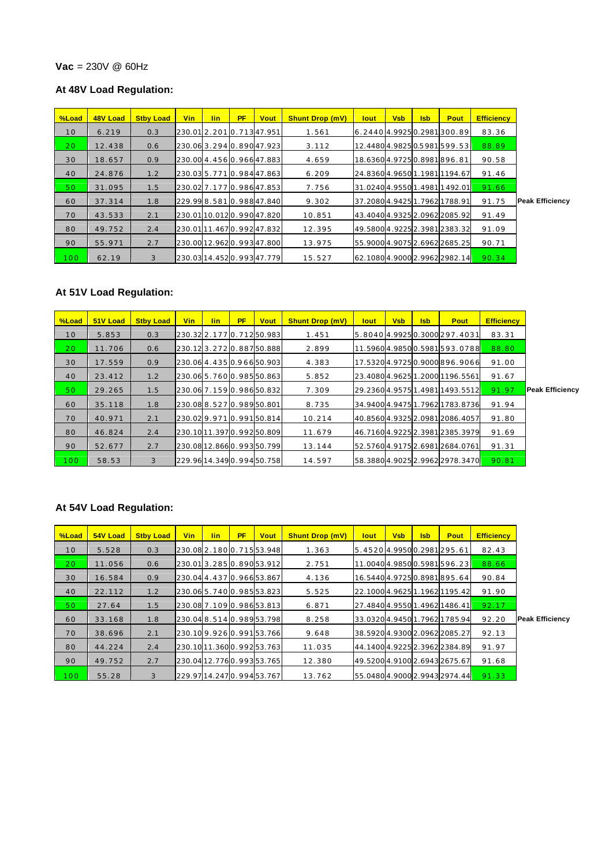#### **Vac** = 230V @ 60Hz

## **At 48V Load Regulation:**

| %Load           | 48V Load | <b>Stby Load</b> | Vin | lin. | <b>PF</b> | <b>Vout</b>                | <b>Shunt Drop (mV)</b> | lout:                         | <b>Vsb</b> | <b>Isb</b> | Pout                       | <b>Efficiency</b> |                        |
|-----------------|----------|------------------|-----|------|-----------|----------------------------|------------------------|-------------------------------|------------|------------|----------------------------|-------------------|------------------------|
| 10              | 6.219    | 0.3              |     |      |           | 230.01 2.201 0.713 47.951  | 1.561                  | 6.24404.99250.2981300.89      |            |            |                            | 83.36             |                        |
| 20 <sub>1</sub> | 12.438   | 0.6              |     |      |           | 230.063.2940.89047.923     | 3.112                  |                               |            |            | 12.44804.98250.5981599.53  | 88.89             |                        |
| 30              | 18.657   | 0.9              |     |      |           | 230.00 4.456 0.966 47.883  | 4.659                  | 18.63604.97250.8981896.81     |            |            |                            | 90.58             |                        |
| 40              | 24.876   | 1.2              |     |      |           | 230.035.7710.98447.863     | 6.209                  |                               |            |            | 24.83604.96501.19811194.67 | 91.46             |                        |
| 50              | 31.095   | 1.5              |     |      |           | 230.02 7.177 0.986 47.853  | 7.756                  |                               |            |            | 31.02404.95501.49811492.01 | 91.66             |                        |
| 60              | 37.314   | 1.8              |     |      |           | 229.99 8.581 0.988 47.840  | 9.302                  | 37.2080 4.9425 1.7962 1788.91 |            |            |                            | 91.75             | <b>Peak Efficiency</b> |
| 70              | 43.533   | 2.1              |     |      |           | 230.0110.0120.99047.820    | 10.851                 | 43.4040 4.9325 2.0962 2085.92 |            |            |                            | 91.49             |                        |
| 80              | 49.752   | 2.4              |     |      |           | 230.0111.4670.99247.832    | 12.395                 | 49.5800 4.9225 2.3981 2383.32 |            |            |                            | 91.09             |                        |
| 90              | 55.971   | 2.7              |     |      |           | 230.00 12.962 0.993 47.800 | 13.975                 | 55.9000 4.9075 2.6962 2685.25 |            |            |                            | 90.71             |                        |
| 100             | 62.19    | 3                |     |      |           | 230.0314.4520.99347.779    | 15.527                 | 62.10804.90002.99622982.14    |            |            |                            | 90.34             |                        |

# **At 51V Load Regulation:**

| <b>M</b> Coad | 51V Load | <b>Stby Load</b> | <b>Vin</b> | lin | <b>PF</b> | <b>Vout</b>                | <b>Shunt Drop (mV)</b> | lout | <b>Vsb</b> | <b>Isb</b> | Pout                            | <b>Efficiency</b> |                        |
|---------------|----------|------------------|------------|-----|-----------|----------------------------|------------------------|------|------------|------------|---------------------------------|-------------------|------------------------|
| 10            | 5.853    | 0.3              |            |     |           | 230.32 2.177 0.712 50.983  | 1.451                  |      |            |            | 5.8040 4.9925 0.3000 297.4031   | 83.31             |                        |
| 20            | 11.706   | 0.6              |            |     |           | 230.123.2720.88750.888     | 2.899                  |      |            |            | 11.59604.98500.5981593.0788     | 88.80             |                        |
| 30            | 17.559   | 0.9              |            |     |           | 230.06 4.435 0.966 50.903  | 4.383                  |      |            |            | 17.53204.97250.9000896.9066     | 91.00             |                        |
| 40            | 23.412   | 1.2              |            |     |           | 230.06 5.760 0.985 50.863  | 5.852                  |      |            |            | 23.4080 4.9625 1.2000 1196.5561 | 91.67             |                        |
| 50            | 29.265   | 1.5              |            |     |           | 230.06 7.159 0.986 50.832  | 7.309                  |      |            |            | 29.23604.95751.49811493.5512    | 91.97             | <b>Peak Efficiency</b> |
| 60            | 35.118   | 1.8              |            |     |           | 230.08 8.527 0.989 50.801  | 8.735                  |      |            |            | 34.9400 4.9475 1.7962 1783.8736 | 91.94             |                        |
| 70            | 40.971   | 2.1              |            |     |           | 230.029.9710.99150.814     | 10.214                 |      |            |            | 40.8560 4.9325 2.0981 2086.4057 | 91.80             |                        |
| 80            | 46.824   | 2.4              |            |     |           | 230.10 11.397 0.992 50.809 | 11.679                 |      |            |            | 46.71604.92252.39812385.3979    | 91.69             |                        |
| 90            | 52.677   | 2.7              |            |     |           | 230.0812.8660.99350.799    | 13.144                 |      |            |            | 52.5760 4.9175 2.6981 2684.0761 | 91.31             |                        |
| 100           | 58.53    | 3                |            |     |           | 229.96 14.349 0.994 50.758 | 14.597                 |      |            |            | 58.38804.90252.99622978.3470    | 90.81             |                        |

| %Load | 54V Load | <b>Stby Load</b> | Vin | <b>lin</b> | <b>PF</b> | <b>Vout</b>                | <b>Shunt Drop (mV)</b> | <b>lout</b>                   | <b>Vsb</b> | <b>Isb</b> | Pout | <b>Efficiency</b> |                        |
|-------|----------|------------------|-----|------------|-----------|----------------------------|------------------------|-------------------------------|------------|------------|------|-------------------|------------------------|
| 10    | 5.528    | 0.3              |     |            |           | 230.08 2.180 0.715 53.948  | 1.363                  | 5.45204.99500.2981295.61      |            |            |      | 82.43             |                        |
| 20    | 11.056   | 0.6              |     |            |           | 230.013.2850.89053.912     | 2.751                  | 11.0040 4.9850 0.5981 596.23  |            |            |      | 88.66             |                        |
| 30    | 16.584   | 0.9              |     |            |           | 230.04 4.437 0.966 53.867  | 4.136                  | 16.54404.97250.8981895.64     |            |            |      | 90.84             |                        |
| 40    | 22.112   | 1.2              |     |            |           | 230.06 5.740 0.985 53.823  | 5.525                  | 22.1000 4.9625 1.1962 1195.42 |            |            |      | 91.90             |                        |
| 50    | 27.64    | 1.5              |     |            |           | 230.08 7.109 0.986 53.813  | 6.871                  | 27.4840 4.9550 1.4962 1486.41 |            |            |      | 92.17             |                        |
| 60    | 33.168   | 1.8              |     |            |           | 230.04 8.514 0.989 53.798  | 8.258                  | 33.0320 4.9450 1.7962 1785.94 |            |            |      | 92.20             | <b>Peak Efficiency</b> |
| 70    | 38.696   | 2.1              |     |            |           | 230.109.9260.99153.766     | 9.648                  | 38.5920 4.9300 2.0962 2085.27 |            |            |      | 92.13             |                        |
| 80    | 44.224   | 2.4              |     |            |           | 230.1011.3600.99253.763    | 11.035                 | 44.1400 4.9225 2.3962 2384.89 |            |            |      | 91.97             |                        |
| 90    | 49.752   | 2.7              |     |            |           | 230.04 12.776 0.993 53.765 | 12.380                 | 49.5200 4.9100 2.6943 2675.67 |            |            |      | 91.68             |                        |
| 100   | 55.28    | 3                |     |            |           | 229.9714.2470.99453.767    | 13.762                 | 55.04804.90002.99432974.44    |            |            |      | 91.33             |                        |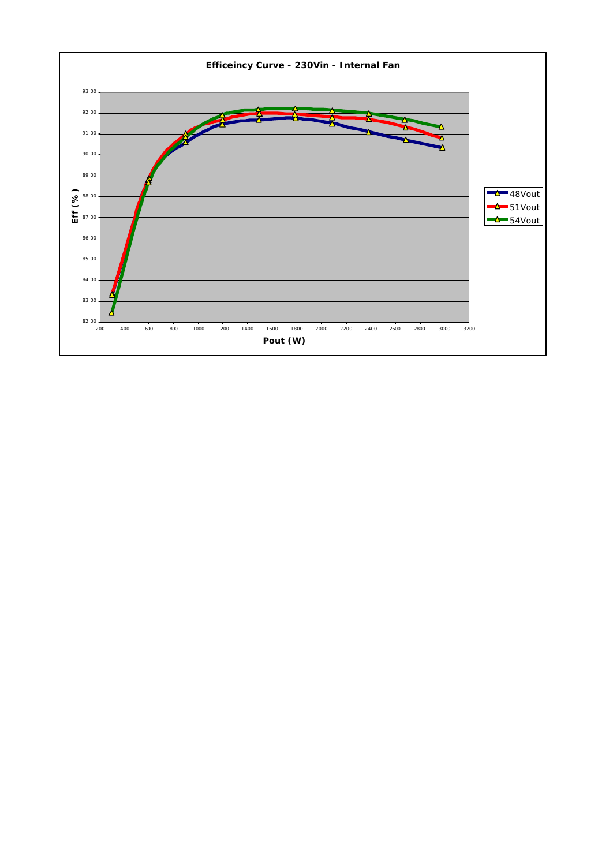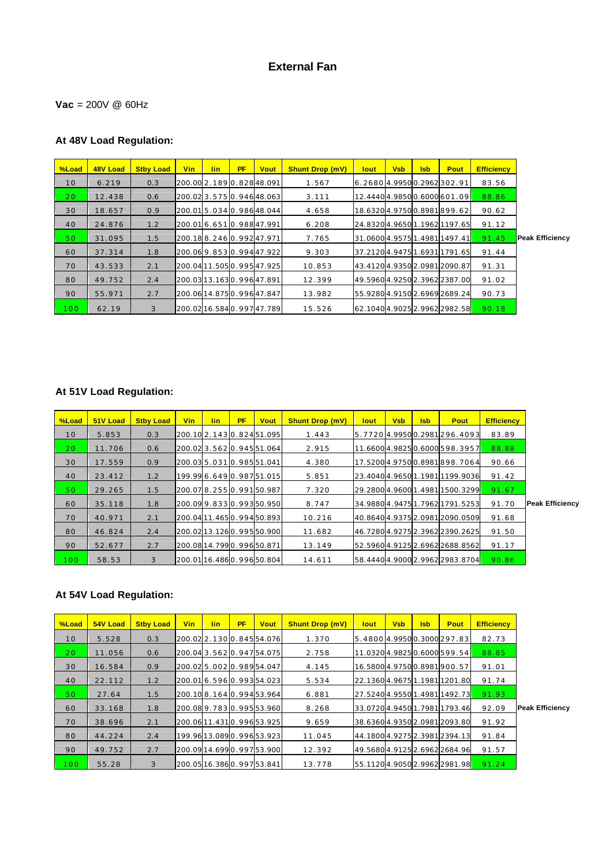# **External Fan**

#### **Vac** = 200V @ 60Hz

# **At 48V Load Regulation:**

| %Load            | 48V Load | <b>Stby Load</b> | <b>Vin</b>                | <b>lin</b> | <b>PF</b> | <b>Vout</b>                | <b>Shunt Drop (mV)</b> | <b>lout</b>                   | <b>Vsb</b> | <b>Isb</b> | Pout                      | <b>Efficiency</b> |                        |
|------------------|----------|------------------|---------------------------|------------|-----------|----------------------------|------------------------|-------------------------------|------------|------------|---------------------------|-------------------|------------------------|
| 10               | 6.219    | 0.3              | 200.00 2.189 0.828 48.091 |            |           |                            | 1.567                  | 6.2680 4.9950 0.2962 302.91   |            |            |                           | 83.56             |                        |
| 20 <sub>1</sub>  | 12.438   | 0.6              |                           |            |           | 200.023.5750.94648.063     | 3.111                  |                               |            |            | 12.44404.98500.6000601.09 | 88.86             |                        |
| 30               | 18.657   | 0.9              |                           |            |           | 200.015.0340.98648.044     | 4.658                  | 18.63204.97500.8981899.62     |            |            |                           | 90.62             |                        |
| 40               | 24.876   | 1.2              |                           |            |           | 200.016.6510.98847.991     | 6.208                  | 24.83204.96501.19621197.65    |            |            |                           | 91.12             |                        |
| 50               | 31.095   | 1.5              |                           |            |           | 200.188.2460.99247.971     | 7.765                  | 31.0600 4.9575 1.4981 1497.41 |            |            |                           | 91.45             | <b>Peak Efficiency</b> |
| 60               | 37.314   | 1.8              |                           |            |           | 200.069.8530.99447.922     | 9.303                  | 37.21204.94751.69311791.65    |            |            |                           | 91.44             |                        |
| 70               | 43.533   | 2.1              |                           |            |           | 200.04 11.505 0.995 47.925 | 10.853                 | 43.41204.93502.09812090.87    |            |            |                           | 91.31             |                        |
| 80               | 49.752   | 2.4              |                           |            |           | 200.03 13.163 0.996 47.891 | 12.399                 | 49.5960 4.9250 2.3962 2387.00 |            |            |                           | 91.02             |                        |
| 90               | 55.971   | 2.7              |                           |            |           | 200.06 14.875 0.996 47.847 | 13.982                 | 55.9280 4.9150 2.6969 2689.24 |            |            |                           | 90.73             |                        |
| 100 <sub>1</sub> | 62.19    | 3                |                           |            |           | 200.02 16.584 0.997 47.789 | 15.526                 | 62.10404.90252.99622982.58    |            |            |                           | 90.18             |                        |

# **At 51V Load Regulation:**

| <b>M</b> Coad | 51V Load | <b>Stby Load</b> | <b>Vin</b> | lin. | <b>PF</b> | <b>Vout</b>                | <b>Shunt Drop (mV)</b> | lout | <b>Vsb</b> | <b>Isb</b> | Pout                            | <b>Efficiency</b> |
|---------------|----------|------------------|------------|------|-----------|----------------------------|------------------------|------|------------|------------|---------------------------------|-------------------|
| 10            | 5.853    | 0.3              |            |      |           | 200.10 2.143 0.824 51.095  | 1.443                  |      |            |            | 5.7720 4.9950 0.2981 296.4093   | 83.89             |
| 20            | 11.706   | 0.6              |            |      |           | 200.02 3.562 0.945 51.064  | 2.915                  |      |            |            | 11.6600 4.9825 0.6000 598.3957  | 88.88             |
| 30            | 17.559   | 0.9              |            |      |           | 200.03 5.031 0.985 51.041  | 4.380                  |      |            |            | 17.5200 4.9750 0.8981 898.7064  | 90.66             |
| 40            | 23.412   | 1.2              |            |      |           | 199.99 6.649 0.987 51.015  | 5.851                  |      |            |            | 23.4040 4.9650 1.1981 1199.9036 | 91.42             |
| 50            | 29.265   | 1.5              |            |      |           | 200.078.2550.99150.987     | 7.320                  |      |            |            | 29.2800 4.9600 1.4981 1500.3299 | 91.67             |
| 60            | 35.118   | 1.8              |            |      |           | 200.099.8330.99350.950     | 8.747                  |      |            |            | 34.98804.94751.79621791.5253    | 91.70             |
| 70            | 40.971   | 2.1              |            |      |           | 200.0411.4650.99450.893    | 10.216                 |      |            |            | 40.8640 4.9375 2.0981 2090.0509 | 91.68             |
| 80            | 46.824   | 2.4              |            |      |           | 200.02 13.126 0.995 50.900 | 11.682                 |      |            |            | 46.7280 4.9275 2.3962 2390.2625 | 91.50             |
| 90            | 52.677   | 2.7              |            |      |           | 200.08 14.799 0.996 50.871 | 13.149                 |      |            |            | 52.5960 4.9125 2.6962 2688.8562 | 91.17             |
| 100           | 58.53    | 3                |            |      |           | 200.0116.4860.99650.804    | 14.611                 |      |            |            | 58.44404.90002.99622983.8704    | 90.86             |

| %Load           | 54V Load | <b>Stby Load</b> | <b>Vin</b> | <b>lin</b> | <b>PF</b> | <b>Vout</b>                | <b>Shunt Drop (mV)</b> | <b>lout</b>                   | <b>Vsb</b> | <b>Isb</b> | <b>Pout</b>                | <b>Efficiency</b> |                        |
|-----------------|----------|------------------|------------|------------|-----------|----------------------------|------------------------|-------------------------------|------------|------------|----------------------------|-------------------|------------------------|
| 10              | 5.528    | 0.3              |            |            |           | 200.02 2.130 0.845 54.076  | 1.370                  | 5.4800 4.9950 0.3000 297.83   |            |            |                            | 82.73             |                        |
| 20 <sub>o</sub> | 11.056   | 0.6              |            |            |           | 200.043.5620.94754.075     | 2.758                  |                               |            |            | 11.03204.98250.6000599.54  | 88.85             |                        |
| 30              | 16.584   | 0.9              |            |            |           | 200.025.0020.98954.047     | 4.145                  | 16.5800 4.9750 0.8981 900.57  |            |            |                            | 91.01             |                        |
| 40              | 22.112   | 1.2              |            |            |           | 200.01 6.596 0.993 54.023  | 5.534                  |                               |            |            | 22.13604.96751.19811201.80 | 91.74             |                        |
| 50              | 27.64    | 1.5              |            |            |           | 200.10 8.164 0.994 53.964  | 6.881                  |                               |            |            | 27.52404.95501.49811492.73 | 91.93             |                        |
| 60              | 33.168   | 1.8              |            |            |           | 200.089.7830.99553.960     | 8.268                  | 33.07204.94501.79811793.46    |            |            |                            | 92.09             | <b>Peak Efficiency</b> |
| 70              | 38.696   | 2.1              |            |            |           | 200.06 11.431 0.996 53.925 | 9.659                  | 38.63604.93502.09812093.80    |            |            |                            | 91.92             |                        |
| 80              | 44.224   | 2.4              |            |            |           | 199.9613.0890.99653.923    | 11.045                 | 44.1800 4.9275 2.3981 2394.13 |            |            |                            | 91.84             |                        |
| 90              | 49.752   | 2.7              |            |            |           | 200.0914.6990.99753.900    | 12.392                 | 49.5680 4.9125 2.6962 2684.96 |            |            |                            | 91.57             |                        |
| 100             | 55.28    | 3                |            |            |           | 200.0516.3860.99753.841    | 13.778                 | 55.11204.90502.99622981.98    |            |            |                            | 91.24             |                        |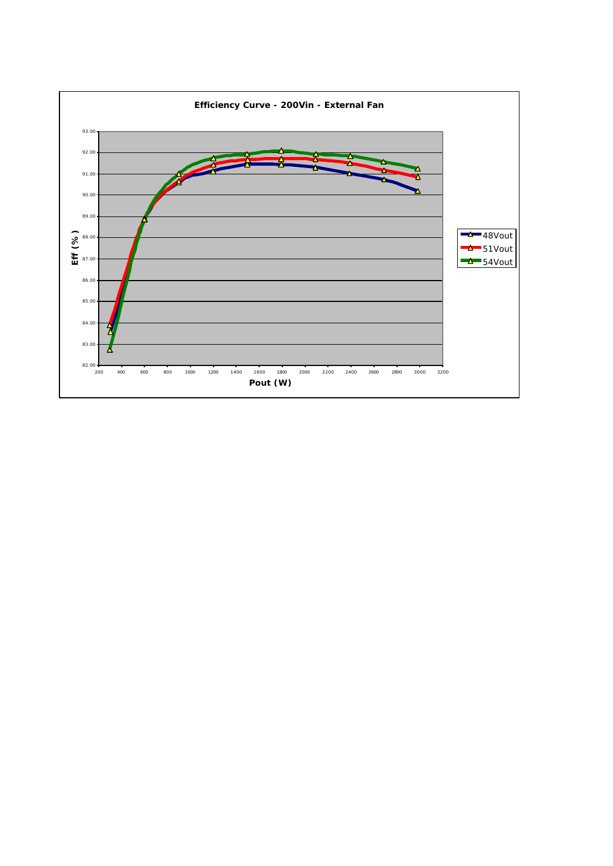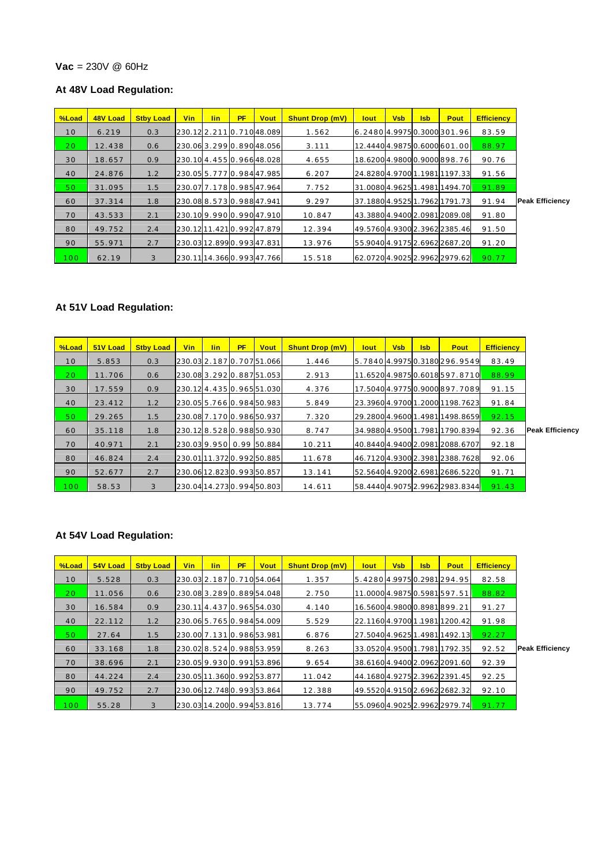#### **Vac** = 230V @ 60Hz

## **At 48V Load Regulation:**

| %Load           | 48V Load | <b>Stby Load</b> | Vin | lin. | <b>PF</b> | <b>Vout</b>               | <b>Shunt Drop (mV)</b> | <b>lout</b> | <b>Vsb</b> | <b>Isb</b> | Pout                          | <b>Efficiency</b> |                        |
|-----------------|----------|------------------|-----|------|-----------|---------------------------|------------------------|-------------|------------|------------|-------------------------------|-------------------|------------------------|
| 10              | 6.219    | 0.3              |     |      |           | 230.12 2.211 0.710 48.089 | 1.562                  |             |            |            | 6.2480 4.9975 0.3000 301.96   | 83.59             |                        |
| 20 <sub>1</sub> | 12.438   | 0.6              |     |      |           | 230.063.2990.89048.056    | 3.111                  |             |            |            | 12.44404.98750.6000601.00     | 88.97             |                        |
| 30              | 18.657   | 0.9              |     |      |           | 230.10 4.455 0.966 48.028 | 4.655                  |             |            |            | 18.62004.98000.9000898.76     | 90.76             |                        |
| 40              | 24.876   | 1.2              |     |      |           | 230.05 5.777 0.984 47.985 | 6.207                  |             |            |            | 24.82804.97001.19811197.33    | 91.56             |                        |
| 50              | 31.095   | 1.5              |     |      |           | 230.07 7.178 0.985 47.964 | 7.752                  |             |            |            | 31.00804.96251.49811494.70    | 91.89             |                        |
| 60              | 37.314   | 1.8              |     |      |           | 230.088.5730.98847.941    | 9.297                  |             |            |            | 37.1880 4.9525 1.7962 1791.73 | 91.94             | <b>Peak Efficiency</b> |
| 70              | 43.533   | 2.1              |     |      |           | 230.109.9900.99047.910    | 10.847                 |             |            |            | 43.3880 4.9400 2.0981 2089.08 | 91.80             |                        |
| 80              | 49.752   | 2.4              |     |      |           | 230.1211.4210.99247.879   | 12.394                 |             |            |            | 49.5760 4.9300 2.3962 2385.46 | 91.50             |                        |
| 90              | 55.971   | 2.7              |     |      |           | 230.0312.8990.99347.831   | 13.976                 |             |            |            | 55.9040 4.9175 2.6962 2687.20 | 91.20             |                        |
| 100             | 62.19    | 3                |     |      |           | 230.1114.3660.99347.766   | 15.518                 |             |            |            | 62.07204.90252.99622979.62    | 90.77             |                        |

## **At 51V Load Regulation:**

|                        | <b>Efficiency</b> | Pout                            | <b>Isb</b> | <b>Vsb</b> | lout | <b>Shunt Drop (mV)</b> | <b>Vout</b>                | <b>PF</b> | <b>lin</b> | <b>Vin</b> | <b>Stby Load</b> | 51V Load | <b>M</b> Coad   |
|------------------------|-------------------|---------------------------------|------------|------------|------|------------------------|----------------------------|-----------|------------|------------|------------------|----------|-----------------|
|                        | 83.49             | 5.7840 4.9975 0.3180 296.9549   |            |            |      | 1.446                  | 230.03 2.187 0.707 51.066  |           |            |            | 0.3              | 5.853    | 10              |
|                        | 88.99             | 11.65204.98750.6018597.8710     |            |            |      | 2.913                  | 230.08 3.292 0.887 51.053  |           |            |            | 0.6              | 11.706   | 20 <sub>1</sub> |
|                        | 91.15             | 17.5040 4.9775 0.9000 897.7089  |            |            |      | 4.376                  | 230.124.4350.96551.030     |           |            |            | 0.9              | 17.559   | 30              |
|                        | 91.84             | 23.39604.97001.20001198.7623    |            |            |      | 5.849                  | 230.05 5.766 0.984 50.983  |           |            |            | 1.2              | 23.412   | 40              |
|                        | 92.15             | 29.2800 4.9600 1.4981 1498.8659 |            |            |      | 7.320                  | 230.08 7.170 0.986 50.937  |           |            |            | 1.5              | 29.265   | 50              |
| <b>Peak Efficiency</b> | 92.36             | 34.98804.95001.79811790.8394    |            |            |      | 8.747                  | 230.128.5280.98850.930     |           |            |            | 1.8              | 35.118   | 60              |
|                        | 92.18             | 40.84404.94002.09812088.6707    |            |            |      | 10.211                 | 230.039.9500.9950.884      |           |            |            | 2.1              | 40.971   | 70              |
|                        | 92.06             | 46.71204.93002.39812388.7628    |            |            |      | 11.678                 | 230.0111.3720.99250.885    |           |            |            | 2.4              | 46.824   | 80              |
|                        | 91.71             | 52.56404.92002.69812686.5220    |            |            |      | 13.141                 | 230.06 12.823 0.993 50.857 |           |            |            | 2.7              | 52.677   | 90              |
|                        | 91.43             | 58.44404.90752.99622983.8344    |            |            |      | 14.611                 | 230.04 14.273 0.994 50.803 |           |            |            | 3                | 58.53    | 100             |

| %Load | 54V Load | <b>Stby Load</b> | Vin | lin. | <b>PF</b> | <b>Vout</b>                | <b>Shunt Drop (mV)</b> | <u>lout</u>                   | <b>Vsb</b> | <b>Isb</b> | Pout                         | <b>Efficiency</b> |                        |
|-------|----------|------------------|-----|------|-----------|----------------------------|------------------------|-------------------------------|------------|------------|------------------------------|-------------------|------------------------|
| 10    | 5.528    | 0.3              |     |      |           | 230.03 2.187 0.710 54.064  | 1.357                  | 5.42804.99750.2981294.95      |            |            |                              | 82.58             |                        |
| 20    | 11.056   | 0.6              |     |      |           | 230.083.2890.88954.048     | 2.750                  | 11.0000 4.9875 0.5981 597.51  |            |            |                              | 88.82             |                        |
| 30    | 16.584   | 0.9              |     |      |           | 230.114.4370.96554.030     | 4.140                  |                               |            |            | 16.5600 4.9800 0.8981 899.21 | 91.27             |                        |
| 40    | 22.112   | 1.2              |     |      |           | 230.06 5.765 0.984 54.009  | 5.529                  | 22.11604.97001.19811200.42    |            |            |                              | 91.98             |                        |
| 50    | 27.64    | 1.5              |     |      |           | 230.00 7.131 0.986 53.981  | 6.876                  | 27.5040 4.9625 1.4981 1492.13 |            |            |                              | 92.27             |                        |
| 60    | 33.168   | 1.8              |     |      |           | 230.028.5240.98853.959     | 8.263                  | 33.05204.95001.79811792.35    |            |            |                              | 92.52             | <b>Peak Efficiency</b> |
| 70    | 38.696   | 2.1              |     |      |           | 230.059.9300.99153.896     | 9.654                  | 38.61604.94002.09622091.60    |            |            |                              | 92.39             |                        |
| 80    | 44.224   | 2.4              |     |      |           | 230.05 11.360 0.992 53.877 | 11.042                 | 44.1680 4.9275 2.3962 2391.45 |            |            |                              | 92.25             |                        |
| 90    | 49.752   | 2.7              |     |      |           | 230.06 12.748 0.993 53.864 | 12.388                 | 49.5520 4.9150 2.6962 2682.32 |            |            |                              | 92.10             |                        |
| 100   | 55.28    | 3                |     |      |           | 230.0314.2000.99453.816    | 13.774                 | 55.0960 4.9025 2.9962 2979.74 |            |            |                              | 91.77             |                        |